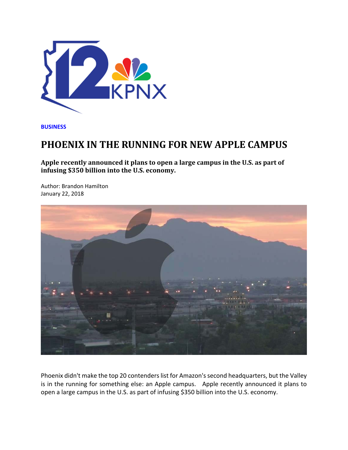

**BUSINESS**

## **PHOENIX IN THE RUNNING FOR NEW APPLE CAMPUS**

**Apple recently announced it plans to open a large campus in the U.S. as part of infusing \$350 billion into the U.S. economy.** 

Author: Brandon Hamilton January 22, 2018



Phoenix didn't make the top 20 contenders list for Amazon's second headquarters, but the Valley is in the running for something else: an Apple campus. Apple recently announced it plans to open a large campus in the U.S. as part of infusing \$350 billion into the U.S. economy.